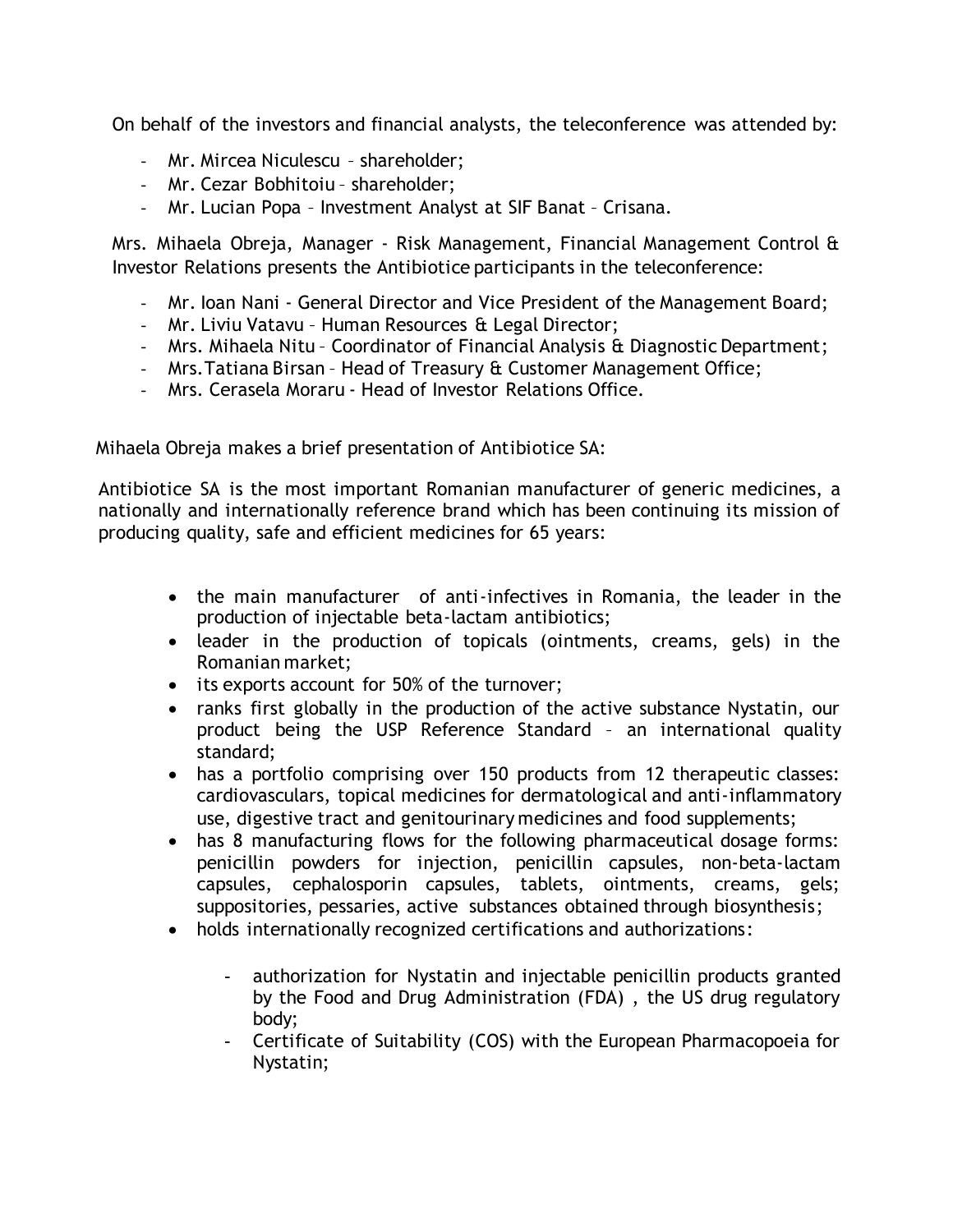On behalf of the investors and financial analysts, the teleconference was attended by:

- Mr. Mircea Niculescu shareholder;
- Mr. Cezar Bobhitoiu shareholder;
- Mr. Lucian Popa Investment Analyst at SIF Banat Crisana.

Mrs. Mihaela Obreja, Manager - Risk Management, Financial Management Control & Investor Relations presents the Antibiotice participants in the teleconference:

- Mr. Ioan Nani General Director and Vice President of the Management Board;
- Mr. Liviu Vatavu Human Resources & Legal Director;
- Mrs. Mihaela Nitu Coordinator of Financial Analysis & Diagnostic Department;
- Mrs.Tatiana Birsan Head of Treasury & Customer Management Office;
- Mrs. Cerasela Moraru Head of Investor Relations Office.

Mihaela Obreja makes a brief presentation of Antibiotice SA:

Antibiotice SA is the most important Romanian manufacturer of generic medicines, a nationally and internationally reference brand which has been continuing its mission of producing quality, safe and efficient medicines for 65 years:

- the main manufacturer of anti-infectives in Romania, the leader in the production of injectable beta-lactam antibiotics;
- leader in the production of topicals (ointments, creams, gels) in the Romanian market;
- its exports account for 50% of the turnover;
- ranks first globally in the production of the active substance Nystatin, our product being the USP Reference Standard – an international quality standard;
- has a portfolio comprising over 150 products from 12 therapeutic classes: cardiovasculars, topical medicines for dermatological and anti-inflammatory use, digestive tract and genitourinary medicines and food supplements;
- has 8 manufacturing flows for the following pharmaceutical dosage forms: penicillin powders for injection, penicillin capsules, non-beta-lactam capsules, cephalosporin capsules, tablets, ointments, creams, gels; suppositories, pessaries, active substances obtained through biosynthesis;
- holds internationally recognized certifications and authorizations:
	- authorization for Nystatin and injectable penicillin products granted by the Food and Drug Administration (FDA) , the US drug regulatory body;
	- Certificate of Suitability (COS) with the European Pharmacopoeia for Nystatin;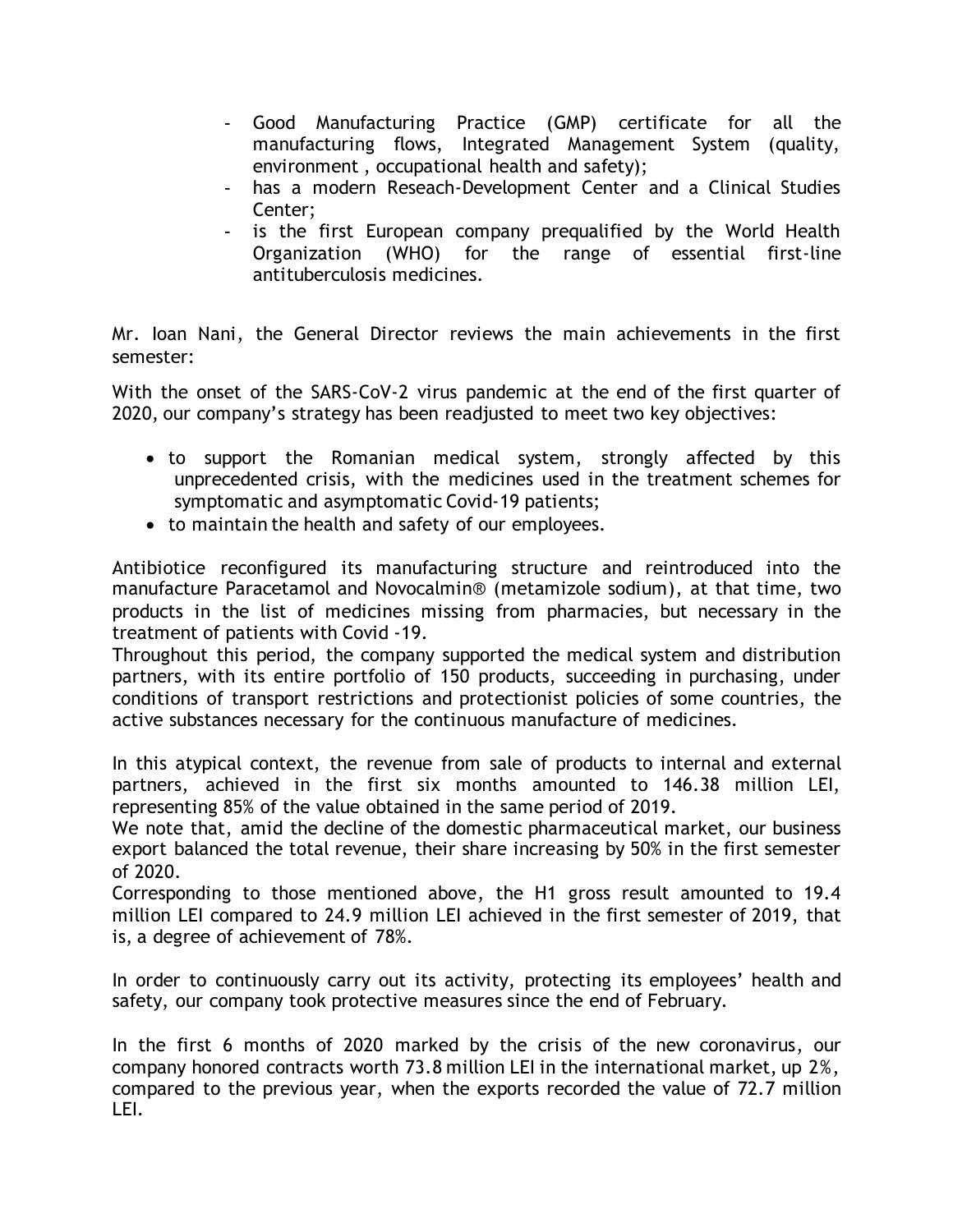- Good Manufacturing Practice (GMP) certificate for all the manufacturing flows, Integrated Management System (quality, environment , occupational health and safety);
- has a modern Reseach-Development Center and a Clinical Studies Center;
- is the first European company prequalified by the World Health Organization (WHO) for the range of essential first-line antituberculosis medicines.

Mr. Ioan Nani, the General Director reviews the main achievements in the first semester:

With the onset of the SARS-CoV-2 virus pandemic at the end of the first quarter of 2020, our company's strategy has been readjusted to meet two key objectives:

- to support the Romanian medical system, strongly affected by this unprecedented crisis, with the medicines used in the treatment schemes for symptomatic and asymptomatic Covid-19 patients;
- to maintain the health and safety of our employees.

Antibiotice reconfigured its manufacturing structure and reintroduced into the manufacture Paracetamol and Novocalmin® (metamizole sodium), at that time, two products in the list of medicines missing from pharmacies, but necessary in the treatment of patients with Covid -19.

Throughout this period, the company supported the medical system and distribution partners, with its entire portfolio of 150 products, succeeding in purchasing, under conditions of transport restrictions and protectionist policies of some countries, the active substances necessary for the continuous manufacture of medicines.

In this atypical context, the revenue from sale of products to internal and external partners, achieved in the first six months amounted to 146.38 million LEI, representing 85% of the value obtained in the same period of 2019.

We note that, amid the decline of the domestic pharmaceutical market, our business export balanced the total revenue, their share increasing by 50% in the first semester of 2020.

Corresponding to those mentioned above, the H1 gross result amounted to 19.4 million LEI compared to 24.9 million LEI achieved in the first semester of 2019, that is, a degree of achievement of 78%.

In order to continuously carry out its activity, protecting its employees' health and safety, our company took protective measures since the end of February.

In the first 6 months of 2020 marked by the crisis of the new coronavirus, our company honored contracts worth 73.8 million LEI in the international market, up 2%, compared to the previous year, when the exports recorded the value of 72.7 million LEI.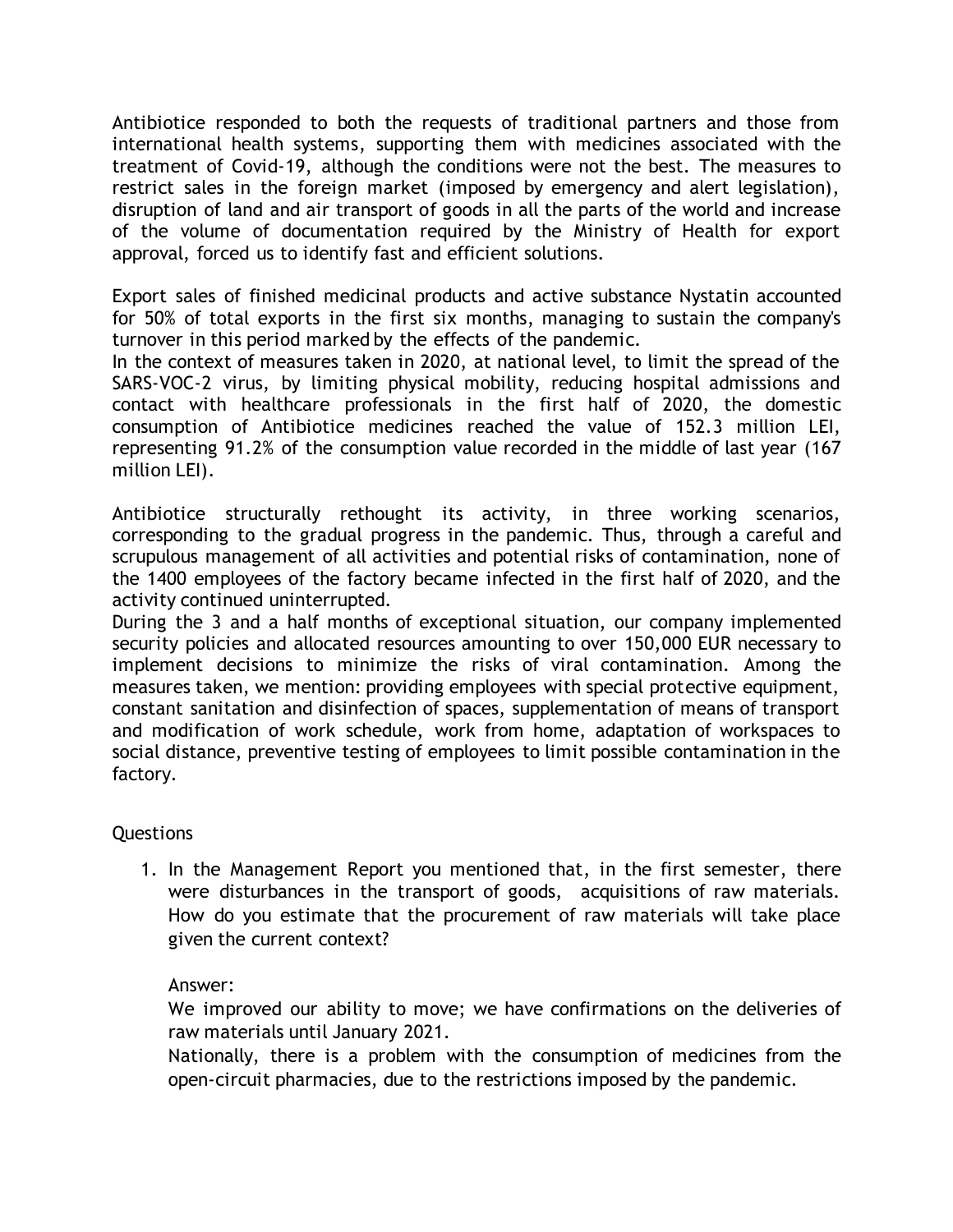Antibiotice responded to both the requests of traditional partners and those from international health systems, supporting them with medicines associated with the treatment of Covid-19, although the conditions were not the best. The measures to restrict sales in the foreign market (imposed by emergency and alert legislation), disruption of land and air transport of goods in all the parts of the world and increase of the volume of documentation required by the Ministry of Health for export approval, forced us to identify fast and efficient solutions.

Export sales of finished medicinal products and active substance Nystatin accounted for 50% of total exports in the first six months, managing to sustain the company's turnover in this period marked by the effects of the pandemic.

In the context of measures taken in 2020, at national level, to limit the spread of the SARS-VOC-2 virus, by limiting physical mobility, reducing hospital admissions and contact with healthcare professionals in the first half of 2020, the domestic consumption of Antibiotice medicines reached the value of 152.3 million LEI, representing 91.2% of the consumption value recorded in the middle of last year (167 million LEI).

Antibiotice structurally rethought its activity, in three working scenarios, corresponding to the gradual progress in the pandemic. Thus, through a careful and scrupulous management of all activities and potential risks of contamination, none of the 1400 employees of the factory became infected in the first half of 2020, and the activity continued uninterrupted.

During the 3 and a half months of exceptional situation, our company implemented security policies and allocated resources amounting to over 150,000 EUR necessary to implement decisions to minimize the risks of viral contamination. Among the measures taken, we mention: providing employees with special protective equipment, constant sanitation and disinfection of spaces, supplementation of means of transport and modification of work schedule, work from home, adaptation of workspaces to social distance, preventive testing of employees to limit possible contamination in the factory.

Questions

1. In the Management Report you mentioned that, in the first semester, there were disturbances in the transport of goods, acquisitions of raw materials. How do you estimate that the procurement of raw materials will take place given the current context?

Answer:

We improved our ability to move; we have confirmations on the deliveries of raw materials until January 2021.

Nationally, there is a problem with the consumption of medicines from the open-circuit pharmacies, due to the restrictions imposed by the pandemic.